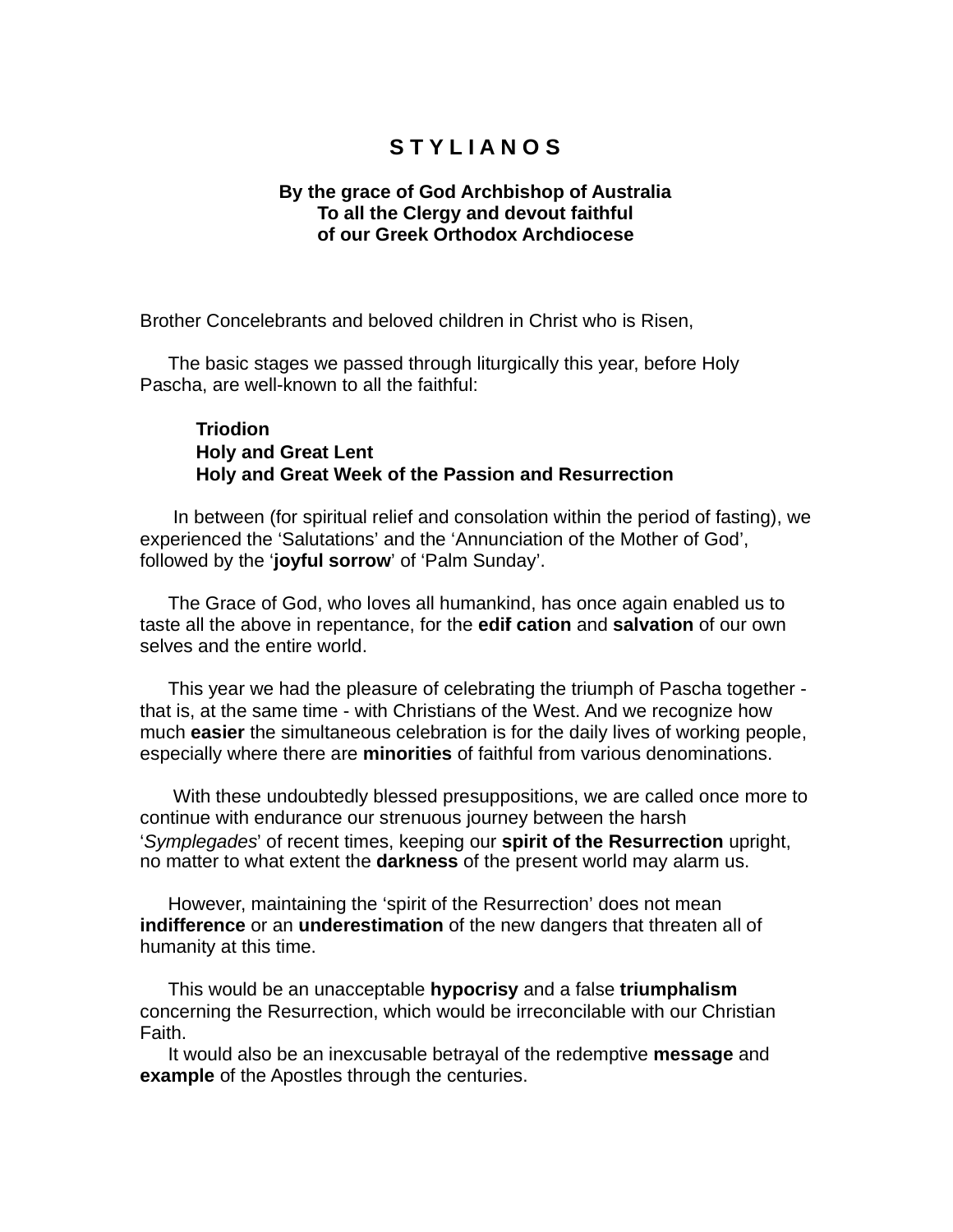## **S T Y L I A N O S**

## **By the grace of God Archbishop of Australia To all the Clergy and devout faithful of our Greek Orthodox Archdiocese**

Brother Concelebrants and beloved children in Christ who is Risen,

The basic stages we passed through liturgically this year, before Holy Pascha, are well-known to all the faithful:

## **Triodion Holy and Great Lent Holy and Great Week of the Passion and Resurrection**

In between (for spiritual relief and consolation within the period of fasting), we experienced the 'Salutations' and the 'Annunciation of the Mother of God', followed by the '**joyful sorrow**' of 'Palm Sunday'.

The Grace of God, who loves all humankind, has once again enabled us to taste all the above in repentance, for the **edifi cation** and **salvation** of our own selves and the entire world.

This year we had the pleasure of celebrating the triumph of Pascha together that is, at the same time - with Christians of the West. And we recognize how much **easier** the simultaneous celebration is for the daily lives of working people, especially where there are **minorities** of faithful from various denominations.

With these undoubtedly blessed presuppositions, we are called once more to continue with endurance our strenuous journey between the harsh '*Symplegades*' of recent times, keeping our **spirit of the Resurrection** upright, no matter to what extent the **darkness** of the present world may alarm us.

However, maintaining the 'spirit of the Resurrection' does not mean **indifference** or an **underestimation** of the new dangers that threaten all of humanity at this time.

This would be an unacceptable **hypocrisy** and a false **triumphalism** concerning the Resurrection, which would be irreconcilable with our Christian Faith.

It would also be an inexcusable betrayal of the redemptive **message** and **example** of the Apostles through the centuries.